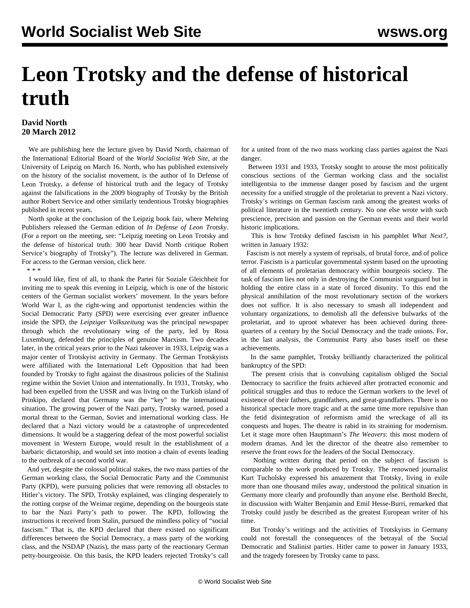## **Leon Trotsky and the defense of historical truth**

## **David North 20 March 2012**

 We are publishing here the lecture given by David North, chairman of the International Editorial Board of the *World Socialist Web Site*, at the University of Leipzig on March 16. North, who has published extensively on the history of the socialist movement, is the author of [In Defense of](http://www.mehring.com/in-defense-of-leon-trotsky.html) [Leon Trotsky](http://www.mehring.com/in-defense-of-leon-trotsky.html), a defense of historical truth and the legacy of Trotsky against the falsifications in the 2009 biography of Trotsky by the British author Robert Service and other similarly tendentious Trotsky biographies published in recent years.

 North spoke at the conclusion of the Leipzig book fair, where Mehring Publishers released the German edition of *In Defense of Leon Trotsky*. (For a report on the meeting, see: ["Leipzig meeting on Leon Trotsky and](/en/articles/2012/mar2012/leip-m19.shtml) [the defense of historical truth: 300 hear David North critique Robert](/en/articles/2012/mar2012/leip-m19.shtml) [Service's biography of Trotsky"](/en/articles/2012/mar2012/leip-m19.shtml)). The lecture was delivered in German. For access to the German version, [click here](/de/2012/mar2012/nort-m20.shtml).

\* \* \*

 I would like, first of all, to thank the Partei für Soziale Gleichheit for inviting me to speak this evening in Leipzig, which is one of the historic centers of the German socialist workers' movement. In the years before World War I, as the right-wing and opportunist tendencies within the Social Democratic Party (SPD) were exercising ever greater influence inside the SPD, the *Leipziger Volkszeitung* was the principal newspaper through which the revolutionary wing of the party, led by Rosa Luxemburg, defended the principles of genuine Marxism. Two decades later, in the critical years prior to the Nazi takeover in 1933, Leipzig was a major center of Trotskyist activity in Germany. The German Trotskyists were affiliated with the International Left Opposition that had been founded by Trotsky to fight against the disastrous policies of the Stalinist regime within the Soviet Union and internationally. In 1931, Trotsky, who had been expelled from the USSR and was living on the Turkish island of Prinkipo, declared that Germany was the "key" to the international situation. The growing power of the Nazi party, Trotsky warned, posed a mortal threat to the German, Soviet and international working class. He declared that a Nazi victory would be a catastrophe of unprecedented dimensions. It would be a staggering defeat of the most powerful socialist movement in Western Europe, would result in the establishment of a barbaric dictatorship, and would set into motion a chain of events leading to the outbreak of a second world war.

 And yet, despite the colossal political stakes, the two mass parties of the German working class, the Social Democratic Party and the Communist Party (KPD), were pursuing policies that were removing all obstacles to Hitler's victory. The SPD, Trotsky explained, was clinging desperately to the rotting corpse of the Weimar regime, depending on the bourgeois state to bar the Nazi Party's path to power. The KPD, following the instructions it received from Stalin, pursued the mindless policy of "social fascism." That is, the KPD declared that there existed no significant differences between the Social Democracy, a mass party of the working class, and the NSDAP (Nazis), the mass party of the reactionary German petty-bourgeoisie. On this basis, the KPD leaders rejected Trotsky's call for a united front of the two mass working class parties against the Nazi danger.

 Between 1931 and 1933, Trotsky sought to arouse the most politically conscious sections of the German working class and the socialist intelligentsia to the immense danger posed by fascism and the urgent necessity for a unified struggle of the proletariat to prevent a Nazi victory. Trotsky's writings on German fascism rank among the greatest works of political literature in the twentieth century. No one else wrote with such prescience, precision and passion on the German events and their world historic implications.

 This is how Trotsky defined fascism in his pamphlet *What Next?*, written in January 1932:

 Fascism is not merely a system of reprisals, of brutal force, and of police terror. Fascism is a particular governmental system based on the uprooting of all elements of proletarian democracy within bourgeois society. The task of fascism lies not only in destroying the Communist vanguard but in holding the entire class in a state of forced disunity. To this end the physical annihilation of the most revolutionary section of the workers does not suffice. It is also necessary to smash all independent and voluntary organizations, to demolish all the defensive bulwarks of the proletariat, and to uproot whatever has been achieved during threequarters of a century by the Social Democracy and the trade unions. For, in the last analysis, the Communist Party also bases itself on these achievements.

 In the same pamphlet, Trotsky brilliantly characterized the political bankruptcy of the SPD:

 The present crisis that is convulsing capitalism obliged the Social Democracy to sacrifice the fruits achieved after protracted economic and political struggles and thus to reduce the German workers to the level of existence of their fathers, grandfathers, and great-grandfathers. There is no historical spectacle more tragic and at the same time more repulsive than the fetid disintegration of reformism amid the wreckage of all its conquests and hopes. The theatre is rabid in its straining for modernism. Let it stage more often Hauptmann's *The Weavers*: this most modern of modern dramas. And let the director of the theatre also remember to reserve the front rows for the leaders of the Social Democracy.

 Nothing written during that period on the subject of fascism is comparable to the work produced by Trotsky. The renowned journalist Kurt Tucholsky expressed his amazement that Trotsky, living in exile more than one thousand miles away, understood the political situation in Germany more clearly and profoundly than anyone else. Berthold Brecht, in discussion with Walter Benjamin and Emil Hesse-Burri, remarked that Trotsky could justly be described as the greatest European writer of his time.

 But Trotsky's writings and the activities of Trotskyists in Germany could not forestall the consequences of the betrayal of the Social Democratic and Stalinist parties. Hitler came to power in January 1933, and the tragedy foreseen by Trotsky came to pass.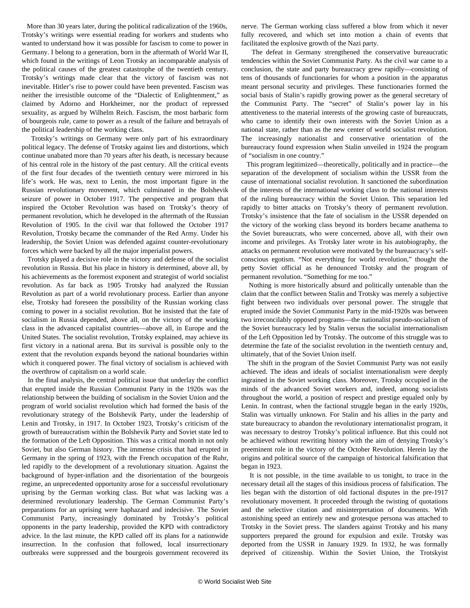More than 30 years later, during the political radicalization of the 1960s, Trotsky's writings were essential reading for workers and students who wanted to understand how it was possible for fascism to come to power in Germany. I belong to a generation, born in the aftermath of World War II, which found in the writings of Leon Trotsky an incomparable analysis of the political causes of the greatest catastrophe of the twentieth century. Trotsky's writings made clear that the victory of fascism was not inevitable. Hitler's rise to power could have been prevented. Fascism was neither the irresistible outcome of the "Dialectic of Enlightenment," as claimed by Adorno and Horkheimer, nor the product of repressed sexuality, as argued by Wilhelm Reich. Fascism, the most barbaric form of bourgeois rule, came to power as a result of the failure and betrayals of the political leadership of the working class.

 Trotsky's writings on Germany were only part of his extraordinary political legacy. The defense of Trotsky against lies and distortions, which continue unabated more than 70 years after his death, is necessary because of his central role in the history of the past century. All the critical events of the first four decades of the twentieth century were mirrored in his life's work. He was, next to Lenin, the most important figure in the Russian revolutionary movement, which culminated in the Bolshevik seizure of power in October 1917. The perspective and program that inspired the October Revolution was based on Trotsky's theory of permanent revolution, which he developed in the aftermath of the Russian Revolution of 1905. In the civil war that followed the October 1917 Revolution, Trotsky became the commander of the Red Army. Under his leadership, the Soviet Union was defended against counter-revolutionary forces which were backed by all the major imperialist powers.

 Trotsky played a decisive role in the victory and defense of the socialist revolution in Russia. But his place in history is determined, above all, by his achievements as the foremost exponent and strategist of world socialist revolution. As far back as 1905 Trotsky had analyzed the Russian Revolution as part of a world revolutionary process. Earlier than anyone else, Trotsky had foreseen the possibility of the Russian working class coming to power in a socialist revolution. But he insisted that the fate of socialism in Russia depended, above all, on the victory of the working class in the advanced capitalist countries—above all, in Europe and the United States. The socialist revolution, Trotsky explained, may achieve its first victory in a national arena. But its survival is possible only to the extent that the revolution expands beyond the national boundaries within which it conquered power. The final victory of socialism is achieved with the overthrow of capitalism on a world scale.

 In the final analysis, the central political issue that underlay the conflict that erupted inside the Russian Communist Party in the 1920s was the relationship between the building of socialism in the Soviet Union and the program of world socialist revolution which had formed the basis of the revolutionary strategy of the Bolshevik Party, under the leadership of Lenin and Trotsky, in 1917. In October 1923, Trotsky's criticism of the growth of bureaucratism within the Bolshevik Party and Soviet state led to the formation of the Left Opposition. This was a critical month in not only Soviet, but also German history. The immense crisis that had erupted in Germany in the spring of 1923, with the French occupation of the Ruhr, led rapidly to the development of a revolutionary situation. Against the background of hyper-inflation and the disorientation of the bourgeois regime, an unprecedented opportunity arose for a successful revolutionary uprising by the German working class. But what was lacking was a determined revolutionary leadership. The German Communist Party's preparations for an uprising were haphazard and indecisive. The Soviet Communist Party, increasingly dominated by Trotsky's political opponents in the party leadership, provided the KPD with contradictory advice. In the last minute, the KPD called off its plans for a nationwide insurrection. In the confusion that followed, local insurrectionary outbreaks were suppressed and the bourgeois government recovered its nerve. The German working class suffered a blow from which it never fully recovered, and which set into motion a chain of events that facilitated the explosive growth of the Nazi party.

 The defeat in Germany strengthened the conservative bureaucratic tendencies within the Soviet Communist Party. As the civil war came to a conclusion, the state and party bureaucracy grew rapidly—consisting of tens of thousands of functionaries for whom a position in the apparatus meant personal security and privileges. These functionaries formed the social basis of Stalin's rapidly growing power as the general secretary of the Communist Party. The "secret" of Stalin's power lay in his attentiveness to the material interests of the growing caste of bureaucrats, who came to identify their own interests with the Soviet Union as a national state, rather than as the new center of world socialist revolution. The increasingly nationalist and conservative orientation of the bureaucracy found expression when Stalin unveiled in 1924 the program of "socialism in one country."

 This program legitimized—theoretically, politically and in practice—the separation of the development of socialism within the USSR from the cause of international socialist revolution. It sanctioned the subordination of the interests of the international working class to the national interests of the ruling bureaucracy within the Soviet Union. This separation led rapidly to bitter attacks on Trotsky's theory of permanent revolution. Trotsky's insistence that the fate of socialism in the USSR depended on the victory of the working class beyond its borders became anathema to the Soviet bureaucrats, who were concerned, above all, with their own income and privileges. As Trotsky later wrote in his autobiography, the attacks on permanent revolution were motivated by the bureaucracy's selfconscious egotism. "Not everything for world revolution," thought the petty Soviet official as he denounced Trotsky and the program of permanent revolution. "Something for me too."

 Nothing is more historically absurd and politically untenable than the claim that the conflict between Stalin and Trotsky was merely a subjective fight between two individuals over personal power. The struggle that erupted inside the Soviet Communist Party in the mid-1920s was between two irreconcilably opposed programs—the nationalist pseudo-socialism of the Soviet bureaucracy led by Stalin versus the socialist internationalism of the Left Opposition led by Trotsky. The outcome of this struggle was to determine the fate of the socialist revolution in the twentieth century and, ultimately, that of the Soviet Union itself.

 The shift in the program of the Soviet Communist Party was not easily achieved. The ideas and ideals of socialist internationalism were deeply ingrained in the Soviet working class. Moreover, Trotsky occupied in the minds of the advanced Soviet workers and, indeed, among socialists throughout the world, a position of respect and prestige equaled only by Lenin. In contrast, when the factional struggle began in the early 1920s, Stalin was virtually unknown. For Stalin and his allies in the party and state bureaucracy to abandon the revolutionary internationalist program, it was necessary to destroy Trotsky's political influence. But this could not be achieved without rewriting history with the aim of denying Trotsky's preeminent role in the victory of the October Revolution. Herein lay the origins and political source of the campaign of historical falsification that began in 1923.

 It is not possible, in the time available to us tonight, to trace in the necessary detail all the stages of this insidious process of falsification. The lies began with the distortion of old factional disputes in the pre-1917 revolutionary movement. It proceeded through the twisting of quotations and the selective citation and misinterpretation of documents. With astonishing speed an entirely new and grotesque persona was attached to Trotsky in the Soviet press. The slanders against Trotsky and his many supporters prepared the ground for expulsion and exile. Trotsky was deported from the USSR in January 1929. In 1932, he was formally deprived of citizenship. Within the Soviet Union, the Trotskyist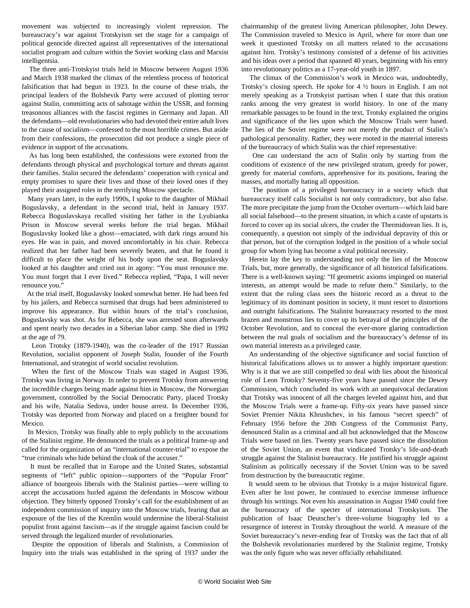movement was subjected to increasingly violent repression. The bureaucracy's war against Trotskyism set the stage for a campaign of political genocide directed against all representatives of the international socialist program and culture within the Soviet working class and Marxist intelligentsia.

 The three anti-Trotskyist trials held in Moscow between August 1936 and March 1938 marked the climax of the relentless process of historical falsification that had begun in 1923. In the course of these trials, the principal leaders of the Bolshevik Party were accused of plotting terror against Stalin, committing acts of sabotage within the USSR, and forming treasonous alliances with the fascist regimes in Germany and Japan. All the defendants—old revolutionaries who had devoted their entire adult lives to the cause of socialism—confessed to the most horrible crimes. But aside from their confessions, the prosecution did not produce a single piece of evidence in support of the accusations.

 As has long been established, the confessions were extorted from the defendants through physical and psychological torture and threats against their families. Stalin secured the defendants' cooperation with cynical and empty promises to spare their lives and those of their loved ones if they played their assigned roles in the terrifying Moscow spectacle.

 Many years later, in the early 1990s, I spoke to the daughter of Mikhail Boguslavsky, a defendant in the second trial, held in January 1937. Rebecca Boguslavskaya recalled visiting her father in the Lyubianka Prison in Moscow several weeks before the trial began. Mikhail Boguslavsky looked like a ghost—emaciated, with dark rings around his eyes. He was in pain, and moved uncomfortably in his chair. Rebecca realized that her father had been severely beaten, and that he found it difficult to place the weight of his body upon the seat. Boguslavsky looked at his daughter and cried out in agony: "You must renounce me. You must forget that I ever lived." Rebecca replied, "Papa, I will never renounce you."

 At the trial itself, Boguslavsky looked somewhat better. He had been fed by his jailers, and Rebecca surmised that drugs had been administered to improve his appearance. But within hours of the trial's conclusion, Boguslavsky was shot. As for Rebecca, she was arrested soon afterwards and spent nearly two decades in a Siberian labor camp. She died in 1992 at the age of 79.

 Leon Trotsky (1879-1940), was the co-leader of the 1917 Russian Revolution, socialist opponent of Joseph Stalin, founder of the Fourth International, and strategist of world socialist revolution.

 When the first of the Moscow Trials was staged in August 1936, Trotsky was living in Norway. In order to prevent Trotsky from answering the incredible charges being made against him in Moscow, the Norwegian government, controlled by the Social Democratic Party, placed Trotsky and his wife, Natalia Sedova, under house arrest. In December 1936, Trotsky was deported from Norway and placed on a freighter bound for Mexico.

 In Mexico, Trotsky was finally able to reply publicly to the accusations of the Stalinist regime. He denounced the trials as a political frame-up and called for the organization of an "international counter-trial" to expose the "true criminals who hide behind the cloak of the accuser."

 It must be recalled that in Europe and the United States, substantial segments of "left" public opinion—supporters of the "Popular Front" alliance of bourgeois liberals with the Stalinist parties—were willing to accept the accusations hurled against the defendants in Moscow without objection. They bitterly opposed Trotsky's call for the establishment of an independent commission of inquiry into the Moscow trials, fearing that an exposure of the lies of the Kremlin would undermine the liberal-Stalinist populist front against fascism—as if the struggle against fascism could be served through the legalized murder of revolutionaries.

 Despite the opposition of liberals and Stalinists, a Commission of Inquiry into the trials was established in the spring of 1937 under the

chairmanship of the greatest living American philosopher, John Dewey. The Commission traveled to Mexico in April, where for more than one week it questioned Trotsky on all matters related to the accusations against him. Trotsky's testimony consisted of a defense of his activities and his ideas over a period that spanned 40 years, beginning with his entry into revolutionary politics as a 17-year-old youth in 1897.

 The climax of the Commission's work in Mexico was, undoubtedly, Trotsky's closing speech. He spoke for 4 ½ hours in English. I am not merely speaking as a Trotskyist partisan when I state that this oration ranks among the very greatest in world history. In one of the many remarkable passages to be found in the text, Trotsky explained the origins and significance of the lies upon which the Moscow Trials were based. The lies of the Soviet regime were not merely the product of Stalin's pathological personality. Rather, they were rooted in the material interests of the bureaucracy of which Stalin was the chief representative:

 One can understand the acts of Stalin only by starting from the conditions of existence of the new privileged stratum, greedy for power, greedy for material comforts, apprehensive for its positions, fearing the masses, and mortally hating all opposition.

 The position of a privileged bureaucracy in a society which that bureaucracy itself calls Socialist is not only contradictory, but also false. The more precipitate the jump from the October overturn—which laid bare all social falsehood—to the present situation, in which a caste of upstarts is forced to cover up its social ulcers, the cruder the Thermidorean lies. It is, consequently, a question not simply of the individual depravity of this or that person, but of the corruption lodged in the position of a whole social group for whom lying has become a vital political necessity.

 Herein lay the key to understanding not only the lies of the Moscow Trials, but, more generally, the significance of all historical falsifications. There is a well-known saying: "If geometric axioms impinged on material interests, an attempt would be made to refute them." Similarly, to the extent that the ruling class sees the historic record as a threat to the legitimacy of its dominant position in society, it must resort to distortions and outright falsifications. The Stalinist bureaucracy resorted to the most brazen and monstrous lies to cover up its betrayal of the principles of the October Revolution, and to conceal the ever-more glaring contradiction between the real goals of socialism and the bureaucracy's defense of its own material interests as a privileged caste.

 An understanding of the objective significance and social function of historical falsifications allows us to answer a highly important question: Why is it that we are still compelled to deal with lies about the historical role of Leon Trotsky? Seventy-five years have passed since the Dewey Commission, which concluded its work with an unequivocal declaration that Trotsky was innocent of all the charges leveled against him, and that the Moscow Trials were a frame-up. Fifty-six years have passed since Soviet Premier Nikita Khrushchev, in his famous "secret speech" of February 1956 before the 20th Congress of the Communist Party, denounced Stalin as a criminal and all but acknowledged that the Moscow Trials were based on lies. Twenty years have passed since the dissolution of the Soviet Union, an event that vindicated Trotsky's life-and-death struggle against the Stalinist bureaucracy. He justified his struggle against Stalinism as politically necessary if the Soviet Union was to be saved from destruction by the bureaucratic regime.

 It would seem to be obvious that Trotsky is a major historical figure. Even after he lost power, he continued to exercise immense influence through his writings. Not even his assassination in August 1940 could free the bureaucracy of the specter of international Trotskyism. The publication of Isaac Deutscher's three-volume biography led to a resurgence of interest in Trotsky throughout the world. A measure of the Soviet bureaucracy's never-ending fear of Trotsky was the fact that of all the Bolshevik revolutionaries murdered by the Stalinist regime, Trotsky was the only figure who was never officially rehabilitated.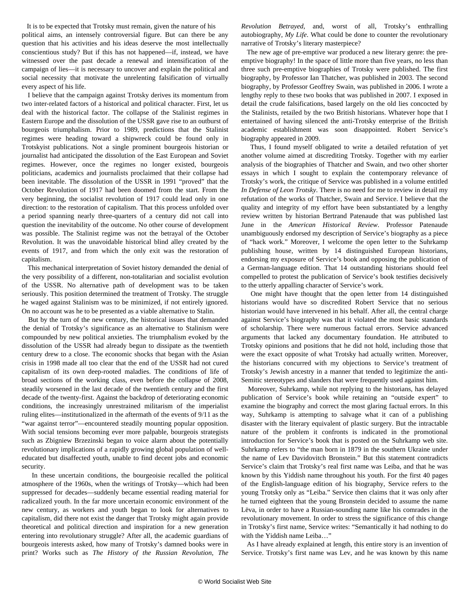It is to be expected that Trotsky must remain, given the nature of his political aims, an intensely controversial figure. But can there be any question that his activities and his ideas deserve the most intellectually conscientious study? But if this has not happened—if, instead, we have witnessed over the past decade a renewal and intensification of the campaign of lies—it is necessary to uncover and explain the political and social necessity that motivate the unrelenting falsification of virtually every aspect of his life.

 I believe that the campaign against Trotsky derives its momentum from two inter-related factors of a historical and political character. First, let us deal with the historical factor. The collapse of the Stalinist regimes in Eastern Europe and the dissolution of the USSR gave rise to an outburst of bourgeois triumphalism. Prior to 1989, predictions that the Stalinist regimes were heading toward a shipwreck could be found only in Trotskyist publications. Not a single prominent bourgeois historian or journalist had anticipated the dissolution of the East European and Soviet regimes. However, once the regimes no longer existed, bourgeois politicians, academics and journalists proclaimed that their collapse had been inevitable. The dissolution of the USSR in 1991 "proved" that the October Revolution of 1917 had been doomed from the start. From the very beginning, the socialist revolution of 1917 could lead only in one direction: to the restoration of capitalism. That this process unfolded over a period spanning nearly three-quarters of a century did not call into question the inevitability of the outcome. No other course of development was possible. The Stalinist regime was not the betrayal of the October Revolution. It was the unavoidable historical blind alley created by the events of 1917, and from which the only exit was the restoration of capitalism.

 This mechanical interpretation of Soviet history demanded the denial of the very possibility of a different, non-totalitarian and socialist evolution of the USSR. No alternative path of development was to be taken seriously. This position determined the treatment of Trotsky. The struggle he waged against Stalinism was to be minimized, if not entirely ignored. On no account was he to be presented as a viable alternative to Stalin.

 But by the turn of the new century, the historical issues that demanded the denial of Trotsky's significance as an alternative to Stalinism were compounded by new political anxieties. The triumphalism evoked by the dissolution of the USSR had already begun to dissipate as the twentieth century drew to a close. The economic shocks that began with the Asian crisis in 1998 made all too clear that the end of the USSR had not cured capitalism of its own deep-rooted maladies. The conditions of life of broad sections of the working class, even before the collapse of 2008, steadily worsened in the last decade of the twentieth century and the first decade of the twenty-first. Against the backdrop of deteriorating economic conditions, the increasingly unrestrained militarism of the imperialist ruling elites—institutionalized in the aftermath of the events of 9/11 as the "war against terror"—encountered steadily mounting popular opposition. With social tensions becoming ever more palpable, bourgeois strategists such as Zbigniew Brzezinski began to voice alarm about the potentially revolutionary implications of a rapidly growing global population of welleducated but disaffected youth, unable to find decent jobs and economic security.

 In these uncertain conditions, the bourgeoisie recalled the political atmosphere of the 1960s, when the writings of Trotsky—which had been suppressed for decades—suddenly became essential reading material for radicalized youth. In the far more uncertain economic environment of the new century, as workers and youth began to look for alternatives to capitalism, did there not exist the danger that Trotsky might again provide theoretical and political direction and inspiration for a new generation entering into revolutionary struggle? After all, the academic guardians of bourgeois interests asked, how many of Trotsky's damned books were in print? Works such as *The History of the Russian Revolution*, *The* *Revolution Betrayed*, and, worst of all, Trotsky's enthralling autobiography, *My Life*. What could be done to counter the revolutionary narrative of Trotsky's literary masterpiece?

 The new age of pre-emptive war produced a new literary genre: the preemptive biography! In the space of little more than five years, no less than three such pre-emptive biographies of Trotsky were published. The first biography, by Professor Ian Thatcher, was published in 2003. The second biography, by Professor Geoffrey Swain, was published in 2006. I wrote a lengthy reply to these two books that was published in 2007. I exposed in detail the crude falsifications, based largely on the old lies concocted by the Stalinists, retailed by the two British historians. Whatever hope that I entertained of having silenced the anti-Trotsky enterprise of the British academic establishment was soon disappointed. Robert Service's biography appeared in 2009.

 Thus, I found myself obligated to write a detailed refutation of yet another volume aimed at discrediting Trotsky. Together with my earlier analysis of the biographies of Thatcher and Swain, and two other shorter essays in which I sought to explain the contemporary relevance of Trotsky's work, the critique of Service was published in a volume entitled *In Defense of Leon Trotsky*. There is no need for me to review in detail my refutation of the works of Thatcher, Swain and Service. I believe that the quality and integrity of my effort have been substantiated by a lengthy review written by historian Bertrand Patenaude that was published last June in the *American Historical Review*. Professor Patenaude unambiguously endorsed my description of Service's biography as a piece of "hack work." Moreover, I welcome the open letter to the Suhrkamp publishing house, written by 14 distinguished European historians, endorsing my exposure of Service's book and opposing the publication of a German-language edition. That 14 outstanding historians should feel compelled to protest the publication of Service's book testifies decisively to the utterly appalling character of Service's work.

 One might have thought that the open letter from 14 distinguished historians would have so discredited Robert Service that no serious historian would have intervened in his behalf. After all, the central charge against Service's biography was that it violated the most basic standards of scholarship. There were numerous factual errors. Service advanced arguments that lacked any documentary foundation. He attributed to Trotsky opinions and positions that he did not hold, including those that were the exact opposite of what Trotsky had actually written. Moreover, the historians concurred with my objections to Service's treatment of Trotsky's Jewish ancestry in a manner that tended to legitimize the anti-Semitic stereotypes and slanders that were frequently used against him.

 Moreover, Suhrkamp, while not replying to the historians, has delayed publication of Service's book while retaining an "outside expert" to examine the biography and correct the most glaring factual errors. In this way, Suhrkamp is attempting to salvage what it can of a publishing disaster with the literary equivalent of plastic surgery. But the intractable nature of the problem it confronts is indicated in the promotional introduction for Service's book that is posted on the Suhrkamp web site. Suhrkamp refers to "the man born in 1879 in the southern Ukraine under the name of Lev Davidovitch Bronstein." But this statement contradicts Service's claim that Trotsky's real first name was Leiba, and that he was known by this Yiddish name throughout his youth. For the first 40 pages of the English-language edition of his biography, Service refers to the young Trotsky only as "Leiba." Service then claims that it was only after he turned eighteen that the young Bronstein decided to assume the name Lëva, in order to have a Russian-sounding name like his comrades in the revolutionary movement. In order to stress the significance of this change in Trotsky's first name, Service writes: "Semantically it had nothing to do with the Yiddish name Leiba…"

 As I have already explained at length, this entire story is an invention of Service. Trotsky's first name was Lev, and he was known by this name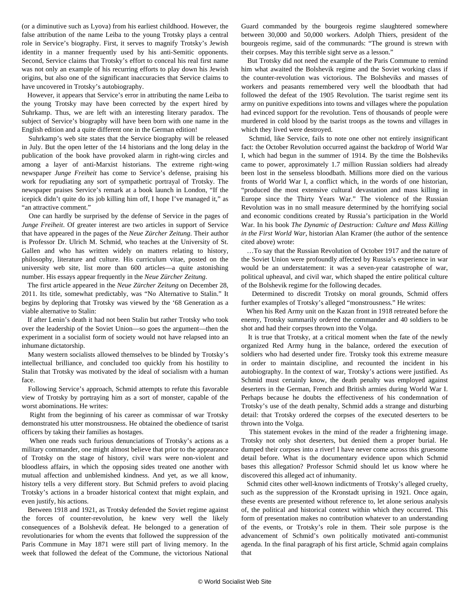(or a diminutive such as Lyova) from his earliest childhood. However, the false attribution of the name Leiba to the young Trotsky plays a central role in Service's biography. First, it serves to magnify Trotsky's Jewish identity in a manner frequently used by his anti-Semitic opponents. Second, Service claims that Trotsky's effort to conceal his real first name was not only an example of his recurring efforts to play down his Jewish origins, but also one of the significant inaccuracies that Service claims to have uncovered in Trotsky's autobiography.

 However, it appears that Service's error in attributing the name Leiba to the young Trotsky may have been corrected by the expert hired by Suhrkamp. Thus, we are left with an interesting literary paradox. The subject of Service's biography will have been born with one name in the English edition and a quite different one in the German edition!

 Suhrkamp's web site states that the Service biography will be released in July. But the open letter of the 14 historians and the long delay in the publication of the book have provoked alarm in right-wing circles and among a layer of anti-Marxist historians. The extreme right-wing newspaper *Junge Freiheit* has come to Service's defense, praising his work for repudiating any sort of sympathetic portrayal of Trotsky. The newspaper praises Service's remark at a book launch in London, "If the icepick didn't quite do its job killing him off, I hope I've managed it," as "an attractive comment."

 One can hardly be surprised by the defense of Service in the pages of *Junge Freiheit*. Of greater interest are two articles in support of Service that have appeared in the pages of the *Neue Zürcher Zeitung*. Their author is Professor Dr. Ulrich M. Schmid, who teaches at the University of St. Gallen and who has written widely on matters relating to history, philosophy, literature and culture. His curriculum vitae, posted on the university web site, list more than 600 articles—a quite astonishing number. His essays appear frequently in the *Neue Zürcher Zeitung*.

 The first article appeared in the *Neue Zürcher Zeitung* on December 28, 2011. Its title, somewhat predictably, was "No Alternative to Stalin." It begins by deploring that Trotsky was viewed by the '68 Generation as a viable alternative to Stalin:

 If after Lenin's death it had not been Stalin but rather Trotsky who took over the leadership of the Soviet Union—so goes the argument—then the experiment in a socialist form of society would not have relapsed into an inhumane dictatorship.

 Many western socialists allowed themselves to be blinded by Trotsky's intellectual brilliance, and concluded too quickly from his hostility to Stalin that Trotsky was motivated by the ideal of socialism with a human face.

 Following Service's approach, Schmid attempts to refute this favorable view of Trotsky by portraying him as a sort of monster, capable of the worst abominations. He writes:

 Right from the beginning of his career as commissar of war Trotsky demonstrated his utter monstrousness. He obtained the obedience of tsarist officers by taking their families as hostages.

 When one reads such furious denunciations of Trotsky's actions as a military commander, one might almost believe that prior to the appearance of Trotsky on the stage of history, civil wars were non-violent and bloodless affairs, in which the opposing sides treated one another with mutual affection and unblemished kindness. And yet, as we all know, history tells a very different story. But Schmid prefers to avoid placing Trotsky's actions in a broader historical context that might explain, and even justify, his actions.

 Between 1918 and 1921, as Trotsky defended the Soviet regime against the forces of counter-revolution, he knew very well the likely consequences of a Bolshevik defeat. He belonged to a generation of revolutionaries for whom the events that followed the suppression of the Paris Commune in May 1871 were still part of living memory. In the week that followed the defeat of the Commune, the victorious National Guard commanded by the bourgeois regime slaughtered somewhere between 30,000 and 50,000 workers. Adolph Thiers, president of the bourgeois regime, said of the communards: "The ground is strewn with their corpses. May this terrible sight serve as a lesson."

 But Trotsky did not need the example of the Paris Commune to remind him what awaited the Bolshevik regime and the Soviet working class if the counter-revolution was victorious. The Bolsheviks and masses of workers and peasants remembered very well the bloodbath that had followed the defeat of the 1905 Revolution. The tsarist regime sent its army on punitive expeditions into towns and villages where the population had evinced support for the revolution. Tens of thousands of people were murdered in cold blood by the tsarist troops as the towns and villages in which they lived were destroyed.

 Schmid, like Service, fails to note one other not entirely insignificant fact: the October Revolution occurred against the backdrop of World War I, which had begun in the summer of 1914. By the time the Bolsheviks came to power, approximately 1.7 million Russian soldiers had already been lost in the senseless bloodbath. Millions more died on the various fronts of World War I, a conflict which, in the words of one historian, "produced the most extensive cultural devastation and mass killing in Europe since the Thirty Years War." The violence of the Russian Revolution was in no small measure determined by the horrifying social and economic conditions created by Russia's participation in the World War. In his book *The Dynamic of Destruction: Culture and Mass Killing in the First World War*, historian Alan Kramer (the author of the sentence cited above) wrote:

 …To say that the Russian Revolution of October 1917 and the nature of the Soviet Union were profoundly affected by Russia's experience in war would be an understatement: it was a seven-year catastrophe of war, political upheaval, and civil war, which shaped the entire political culture of the Bolshevik regime for the following decades.

 Determined to discredit Trotsky on moral grounds, Schmid offers further examples of Trotsky's alleged "monstrousness." He writes:

 When his Red Army unit on the Kazan front in 1918 retreated before the enemy, Trotsky summarily ordered the commander and 40 soldiers to be shot and had their corpses thrown into the Volga.

 It is true that Trotsky, at a critical moment when the fate of the newly organized Red Army hung in the balance, ordered the execution of soldiers who had deserted under fire. Trotsky took this extreme measure in order to maintain discipline, and recounted the incident in his autobiography. In the context of war, Trotsky's actions were justified. As Schmid must certainly know, the death penalty was employed against deserters in the German, French and British armies during World War I. Perhaps because he doubts the effectiveness of his condemnation of Trotsky's use of the death penalty, Schmid adds a strange and disturbing detail: that Trotsky ordered the corpses of the executed deserters to be thrown into the Volga.

 This statement evokes in the mind of the reader a frightening image. Trotsky not only shot deserters, but denied them a proper burial. He dumped their corpses into a river! I have never come across this gruesome detail before. What is the documentary evidence upon which Schmid bases this allegation? Professor Schmid should let us know where he discovered this alleged act of inhumanity.

 Schmid cites other well-known indictments of Trotsky's alleged cruelty, such as the suppression of the Kronstadt uprising in 1921. Once again, these events are presented without reference to, let alone serious analysis of, the political and historical context within which they occurred. This form of presentation makes no contribution whatever to an understanding of the events, or Trotsky's role in them. Their sole purpose is the advancement of Schmid's own politically motivated anti-communist agenda. In the final paragraph of his first article, Schmid again complains that